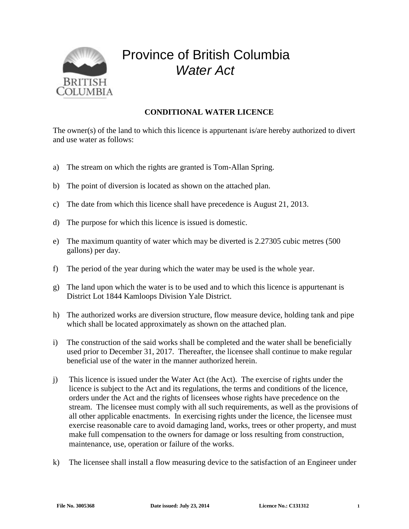

## Province of British Columbia *Water Act*

## **CONDITIONAL WATER LICENCE**

The owner(s) of the land to which this licence is appurtenant is/are hereby authorized to divert and use water as follows:

- a) The stream on which the rights are granted is Tom-Allan Spring.
- b) The point of diversion is located as shown on the attached plan.
- c) The date from which this licence shall have precedence is August 21, 2013.
- d) The purpose for which this licence is issued is domestic.
- e) The maximum quantity of water which may be diverted is 2.27305 cubic metres (500 gallons) per day.
- f) The period of the year during which the water may be used is the whole year.
- g) The land upon which the water is to be used and to which this licence is appurtenant is District Lot 1844 Kamloops Division Yale District.
- h) The authorized works are diversion structure, flow measure device, holding tank and pipe which shall be located approximately as shown on the attached plan.
- i) The construction of the said works shall be completed and the water shall be beneficially used prior to December 31, 2017. Thereafter, the licensee shall continue to make regular beneficial use of the water in the manner authorized herein.
- j) This licence is issued under the Water Act (the Act). The exercise of rights under the licence is subject to the Act and its regulations, the terms and conditions of the licence, orders under the Act and the rights of licensees whose rights have precedence on the stream. The licensee must comply with all such requirements, as well as the provisions of all other applicable enactments. In exercising rights under the licence, the licensee must exercise reasonable care to avoid damaging land, works, trees or other property, and must make full compensation to the owners for damage or loss resulting from construction, maintenance, use, operation or failure of the works.
- k) The licensee shall install a flow measuring device to the satisfaction of an Engineer under